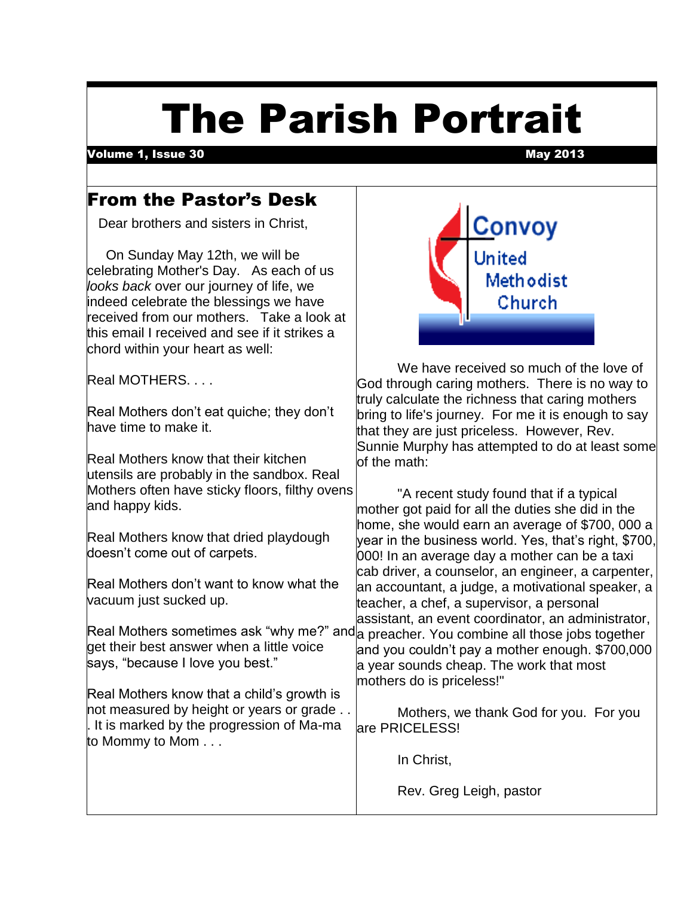# The Parish Portrait

Volume 1, Issue 30 May 2013

# From the Pastor's Desk

Dear brothers and sisters in Christ,

 On Sunday May 12th, we will be celebrating Mother's Day. As each of us *looks back* over our journey of life, we indeed celebrate the blessings we have received from our mothers. Take a look at this email I received and see if it strikes a chord within your heart as well:

Real MOTHERS. . . .

Real Mothers don't eat quiche; they don't have time to make it.

Real Mothers know that their kitchen utensils are probably in the sandbox. Real Mothers often have sticky floors, filthy ovens and happy kids.

Real Mothers know that dried playdough doesn't come out of carpets.

Real Mothers don't want to know what the vacuum just sucked up.

get their best answer when a little voice says, "because I love you best."

Real Mothers know that a child's growth is not measured by height or years or grade . . . It is marked by the progression of Ma-ma to Mommy to Mom . . .



We have received so much of the love of God through caring mothers. There is no way to truly calculate the richness that caring mothers bring to life's journey. For me it is enough to say that they are just priceless. However, Rev. Sunnie Murphy has attempted to do at least some of the math:

Real Mothers sometimes ask "why me?" and a preacher. You combine all those jobs together "A recent study found that if a typical mother got paid for all the duties she did in the home, she would earn an average of \$700, 000 a year in the business world. Yes, that's right, \$700, 000! In an average day a mother can be a taxi cab driver, a counselor, an engineer, a carpenter, an accountant, a judge, a motivational speaker, a teacher, a chef, a supervisor, a personal assistant, an event coordinator, an administrator, and you couldn't pay a mother enough. \$700,000 a year sounds cheap. The work that most mothers do is priceless!"

> Mothers, we thank God for you. For you are PRICELESS!

> > In Christ,

Rev. Greg Leigh, pastor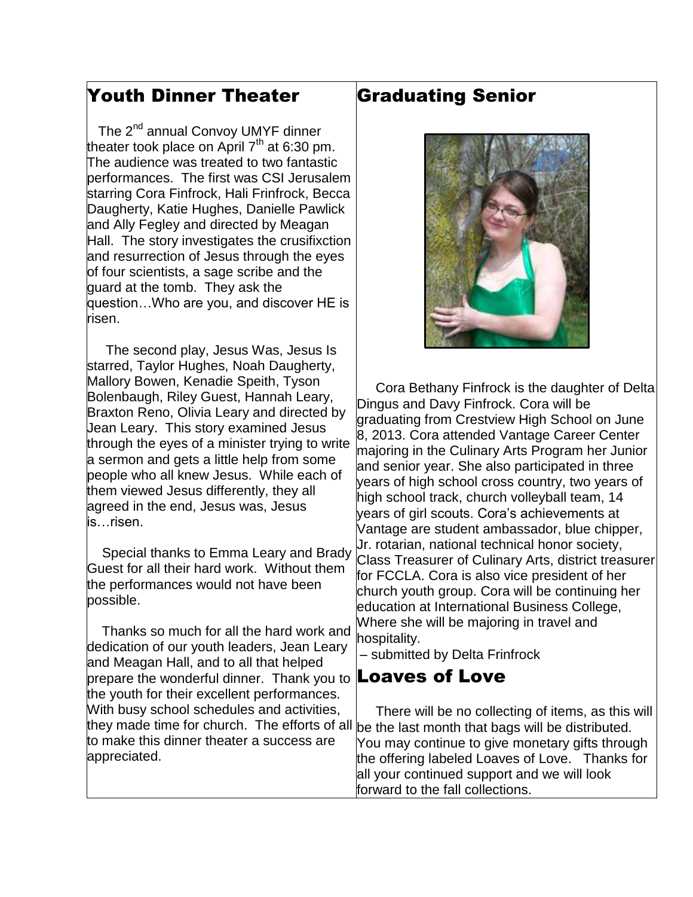#### Youth Dinner Theater

 $\overline{\phantom{a}}$ The 2<sup>nd</sup> annual Convoy UMYF dinner theater took place on April 7<sup>th</sup> at 6:30 pm. The audience was treated to two fantastic performances. The first was CSI Jerusalem starring Cora Finfrock, Hali Frinfrock, Becca Daugherty, Katie Hughes, Danielle Pawlick and Ally Fegley and directed by Meagan Hall. The story investigates the crusifixction and resurrection of Jesus through the eyes of four scientists, a sage scribe and the guard at the tomb. They ask the question…Who are you, and discover HE is risen.

 The second play, Jesus Was, Jesus Is starred, Taylor Hughes, Noah Daugherty, Mallory Bowen, Kenadie Speith, Tyson Bolenbaugh, Riley Guest, Hannah Leary, Braxton Reno, Olivia Leary and directed by Jean Leary. This story examined Jesus through the eyes of a minister trying to write a sermon and gets a little help from some people who all knew Jesus. While each of them viewed Jesus differently, they all agreed in the end, Jesus was, Jesus is…risen.

 Special thanks to Emma Leary and Brady Guest for all their hard work. Without them the performances would not have been possible.

 Thanks so much for all the hard work and dedication of our youth leaders, Jean Leary and Meagan Hall, and to all that helped prepare the wonderful dinner. Thank you to  $\mathsf{Loaves}$  of Love the youth for their excellent performances. With busy school schedules and activities, to make this dinner theater a success are appreciated.

### Graduating Senior



 Cora Bethany Finfrock is the daughter of Delta Dingus and Davy Finfrock. Cora will be graduating from Crestview High School on June 8, 2013. Cora attended Vantage Career Center majoring in the Culinary Arts Program her Junior and senior year. She also participated in three years of high school cross country, two years of high school track, church volleyball team, 14 years of girl scouts. Cora's achievements at Vantage are student ambassador, blue chipper, Jr. rotarian, national technical honor society, Class Treasurer of Culinary Arts, district treasurer for FCCLA. Cora is also vice president of her church youth group. Cora will be continuing her education at International Business College, Where she will be majoring in travel and hospitality.

– submitted by Delta Frinfrock

they made time for church. The efforts of all  $|_{\text{be}}$  the last month that bags will be distributed. There will be no collecting of items, as this will You may continue to give monetary gifts through the offering labeled Loaves of Love. Thanks for all your continued support and we will look forward to the fall collections.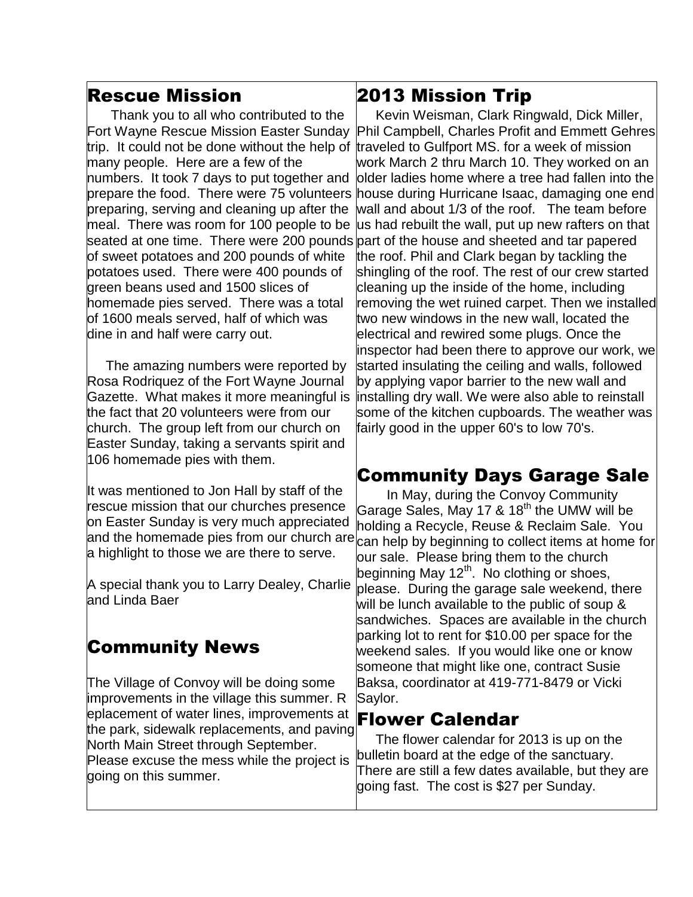#### Rescue Mission

 Thank you to all who contributed to the Fort Wayne Rescue Mission Easter Sunday many people. Here are a few of the numbers. It took 7 days to put together and prepare the food. There were 75 volunteers preparing, serving and cleaning up after the meal. There was room for 100 people to be of sweet potatoes and 200 pounds of white potatoes used. There were 400 pounds of green beans used and 1500 slices of homemade pies served. There was a total of 1600 meals served, half of which was dine in and half were carry out.

 The amazing numbers were reported by Rosa Rodriquez of the Fort Wayne Journal Gazette. What makes it more meaningful is the fact that 20 volunteers were from our church. The group left from our church on Easter Sunday, taking a servants spirit and 106 homemade pies with them.

It was mentioned to Jon Hall by staff of the rescue mission that our churches presence on Easter Sunday is very much appreciated and the homemade pies from our church are a highlight to those we are there to serve.

A special thank you to Larry Dealey, Charlie and Linda Baer

# Community News

 $\overline{\phantom{a}}$ 

The Village of Convoy will be doing some improvements in the village this summer. R eplacement of water lines, improvements at the park, sidewalk replacements, and paving North Main Street through September. Please excuse the mess while the project is going on this summer.

### 2013 Mission Trip

trip. It could not be done without the help of traveled to Gulfport MS. for a week of mission seated at one time. There were 200 pounds part of the house and sheeted and tar papered Kevin Weisman, Clark Ringwald, Dick Miller, Phil Campbell, Charles Profit and Emmett Gehres work March 2 thru March 10. They worked on an older ladies home where a tree had fallen into the house during Hurricane Isaac, damaging one end wall and about 1/3 of the roof. The team before us had rebuilt the wall, put up new rafters on that the roof. Phil and Clark began by tackling the shingling of the roof. The rest of our crew started cleaning up the inside of the home, including removing the wet ruined carpet. Then we installed two new windows in the new wall, located the electrical and rewired some plugs. Once the inspector had been there to approve our work, we started insulating the ceiling and walls, followed by applying vapor barrier to the new wall and installing dry wall. We were also able to reinstall some of the kitchen cupboards. The weather was fairly good in the upper 60's to low 70's.

# Community Days Garage Sale

 In May, during the Convoy Community Garage Sales, May 17 & 18<sup>th</sup> the UMW will be holding a Recycle, Reuse & Reclaim Sale. You can help by beginning to collect items at home for our sale. Please bring them to the church beginning May 12<sup>th</sup>. No clothing or shoes, please. During the garage sale weekend, there will be lunch available to the public of soup & sandwiches. Spaces are available in the church parking lot to rent for \$10.00 per space for the weekend sales. If you would like one or know someone that might like one, contract Susie Baksa, coordinator at 419-771-8479 or Vicki Saylor.

#### Flower Calendar

 The flower calendar for 2013 is up on the bulletin board at the edge of the sanctuary. There are still a few dates available, but they are going fast. The cost is \$27 per Sunday.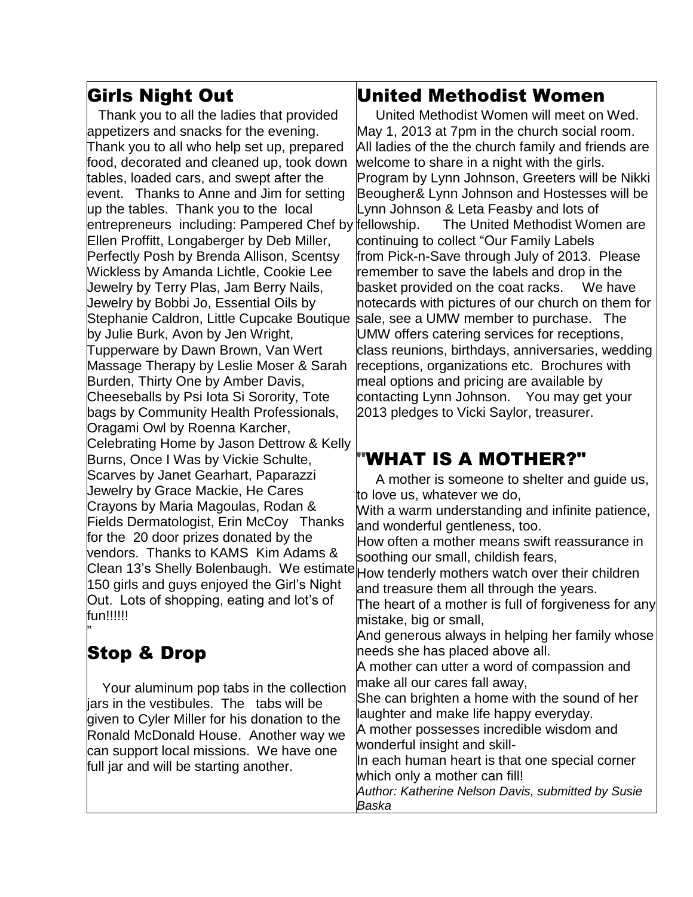# Girls Night Out

 Thank you to all the ladies that provided appetizers and snacks for the evening. Thank you to all who help set up, prepared food, decorated and cleaned up, took down tables, loaded cars, and swept after the event. Thanks to Anne and Jim for setting up the tables. Thank you to the local entrepreneurs including: Pampered Chef by fellowship. Ellen Proffitt, Longaberger by Deb Miller, Perfectly Posh by Brenda Allison, Scentsy Wickless by Amanda Lichtle, Cookie Lee Jewelry by Terry Plas, Jam Berry Nails, Jewelry by Bobbi Jo, Essential Oils by Stephanie Caldron, Little Cupcake Boutique by Julie Burk, Avon by Jen Wright, Tupperware by Dawn Brown, Van Wert Massage Therapy by Leslie Moser & Sarah Burden, Thirty One by Amber Davis, Cheeseballs by Psi Iota Si Sorority, Tote bags by Community Health Professionals, Oragami Owl by Roenna Karcher, Celebrating Home by Jason Dettrow & Kelly Burns, Once I Was by Vickie Schulte, Scarves by Janet Gearhart, Paparazzi Jewelry by Grace Mackie, He Cares Crayons by Maria Magoulas, Rodan & Fields Dermatologist, Erin McCoy Thanks for the 20 door prizes donated by the vendors. Thanks to KAMS Kim Adams & Clean 13's Shelly Bolenbaugh. We estimate How tenderly mothers watch over their children 150 girls and guys enjoyed the Girl's Night Out. Lots of shopping, eating and lot's of fun!!!!!!

# Stop & Drop

"

 Your aluminum pop tabs in the collection jars in the vestibules. The tabs will be given to Cyler Miller for his donation to the Ronald McDonald House. Another way we can support local missions. We have one full jar and will be starting another.

#### United Methodist Women

 United Methodist Women will meet on Wed. May 1, 2013 at 7pm in the church social room. All ladies of the the church family and friends are welcome to share in a night with the girls. Program by Lynn Johnson, Greeters will be Nikki Beougher& Lynn Johnson and Hostesses will be Lynn Johnson & Leta Feasby and lots of The United Methodist Women are continuing to collect "Our Family Labels from Pick-n-Save through July of 2013. Please remember to save the labels and drop in the basket provided on the coat racks. We have notecards with pictures of our church on them for sale, see a UMW member to purchase. The UMW offers catering services for receptions, class reunions, birthdays, anniversaries, wedding receptions, organizations etc. Brochures with meal options and pricing are available by contacting Lynn Johnson. You may get your 2013 pledges to Vicki Saylor, treasurer.

# "WHAT IS A MOTHER?"

 A mother is someone to shelter and guide us, to love us, whatever we do,

With a warm understanding and infinite patience, and wonderful gentleness, too.

How often a mother means swift reassurance in soothing our small, childish fears,

and treasure them all through the years.

The heart of a mother is full of forgiveness for any mistake, big or small,

And generous always in helping her family whose needs she has placed above all.

A mother can utter a word of compassion and make all our cares fall away,

She can brighten a home with the sound of her laughter and make life happy everyday.

A mother possesses incredible wisdom and wonderful insight and skill-

In each human heart is that one special corner which only a mother can fill!

*Author: Katherine Nelson Davis, submitted by Susie Baska*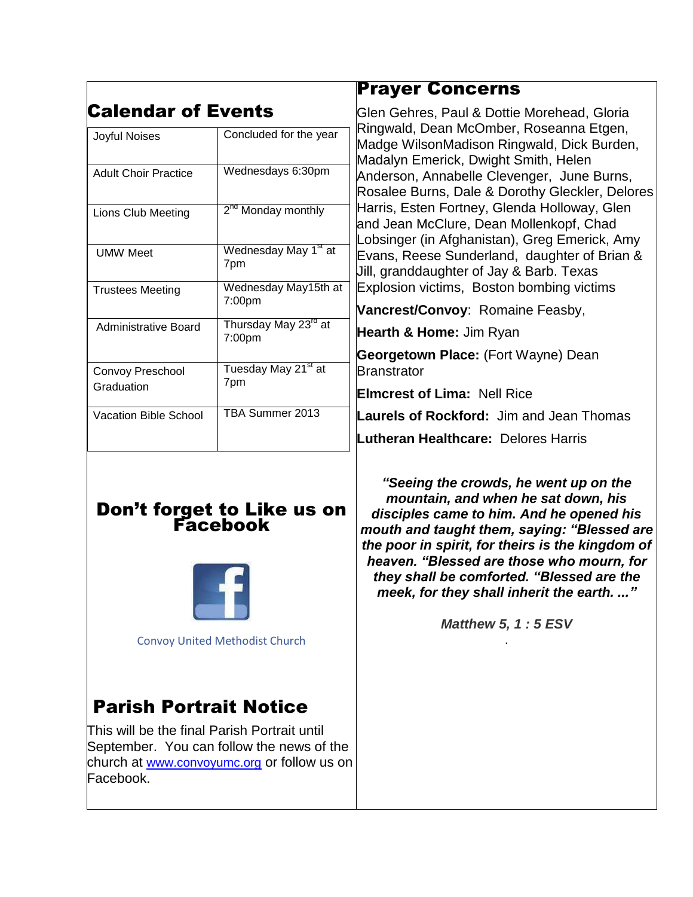|                                     |                                            | <b>Prayer Concerns</b>                                                                                                                                                                                                                                                                                                                                                                                                                                                                                                                                                                                 |
|-------------------------------------|--------------------------------------------|--------------------------------------------------------------------------------------------------------------------------------------------------------------------------------------------------------------------------------------------------------------------------------------------------------------------------------------------------------------------------------------------------------------------------------------------------------------------------------------------------------------------------------------------------------------------------------------------------------|
| Calendar of Events<br>Joyful Noises | Concluded for the year                     | Glen Gehres, Paul & Dottie Morehead, Gloria<br>Ringwald, Dean McOmber, Roseanna Etgen,<br>Madge WilsonMadison Ringwald, Dick Burden,<br>Madalyn Emerick, Dwight Smith, Helen<br>Anderson, Annabelle Clevenger, June Burns,<br>Rosalee Burns, Dale & Dorothy Gleckler, Delores<br>Harris, Esten Fortney, Glenda Holloway, Glen<br>and Jean McClure, Dean Mollenkopf, Chad<br>Lobsinger (in Afghanistan), Greg Emerick, Amy<br>Evans, Reese Sunderland, daughter of Brian &<br>Jill, granddaughter of Jay & Barb. Texas<br>Explosion victims, Boston bombing victims<br>Vancrest/Convoy: Romaine Feasby, |
| <b>Adult Choir Practice</b>         | Wednesdays 6:30pm                          |                                                                                                                                                                                                                                                                                                                                                                                                                                                                                                                                                                                                        |
| Lions Club Meeting                  | 2 <sup>nd</sup> Monday monthly             |                                                                                                                                                                                                                                                                                                                                                                                                                                                                                                                                                                                                        |
| <b>UMW Meet</b>                     | Wednesday May 1 <sup>st</sup> at<br>7pm    |                                                                                                                                                                                                                                                                                                                                                                                                                                                                                                                                                                                                        |
| <b>Trustees Meeting</b>             | Wednesday May15th at<br>7:00pm             |                                                                                                                                                                                                                                                                                                                                                                                                                                                                                                                                                                                                        |
| <b>Administrative Board</b>         | Thursday May 23 <sup>rd</sup> at<br>7:00pm | Hearth & Home: Jim Ryan                                                                                                                                                                                                                                                                                                                                                                                                                                                                                                                                                                                |
| Convoy Preschool<br>Graduation      | Tuesday May 21 <sup>st</sup> at<br>7pm     | Georgetown Place: (Fort Wayne) Dean<br>Branstrator<br><b>Elmcrest of Lima: Nell Rice</b>                                                                                                                                                                                                                                                                                                                                                                                                                                                                                                               |
| Vacation Bible School               | TBA Summer 2013                            | <b>Laurels of Rockford:</b> Jim and Jean Thomas<br><b>Lutheran Healthcare: Delores Harris</b>                                                                                                                                                                                                                                                                                                                                                                                                                                                                                                          |

#### Don't forget to Like us on Facebook



[Convoy United Methodist Church](https://www.facebook.com/ConvoyUnitedMethodistChurch)

# Parish Portrait Notice

This will be the final Parish Portrait until September. You can follow the news of the church at [www.convoyumc.org](http://www.convoyumc.org/) or follow us on Facebook.

*"Seeing the crowds, he went up on the mountain, and when he sat down, his disciples came to him. And he opened his mouth and taught them, saying: "Blessed are the poor in spirit, for theirs is the kingdom of heaven. "Blessed are those who mourn, for they shall be comforted. "Blessed are the meek, for they shall inherit the earth. ..."*

> *Matthew 5, 1 : 5 ESV* .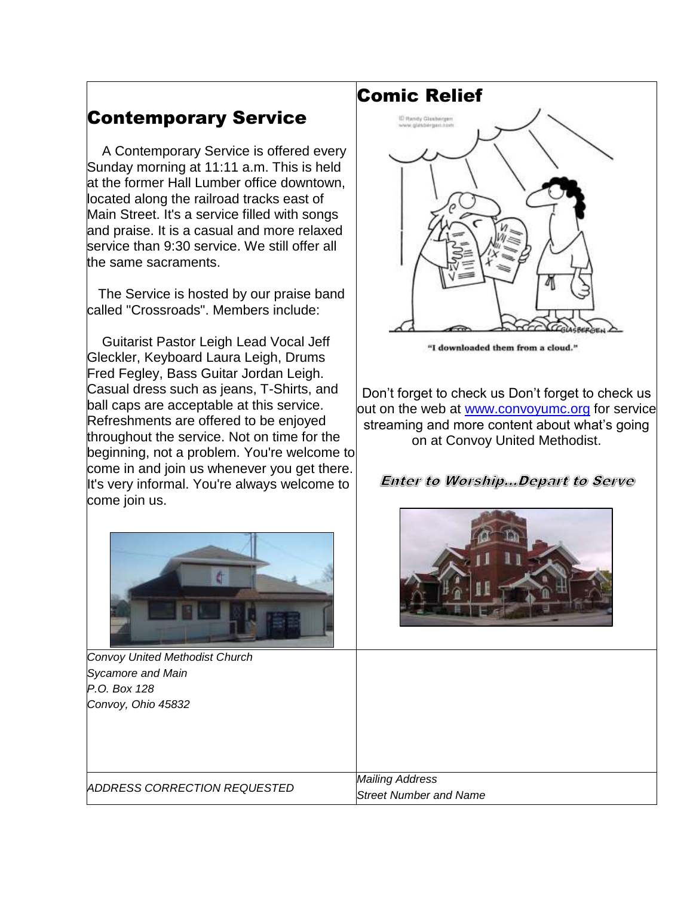# Contemporary Service

 A Contemporary Service is offered every Sunday morning at 11:11 a.m. This is held at the former Hall Lumber office downtown, located along the railroad tracks east of Main Street. It's a service filled with songs and praise. It is a casual and more relaxed service than 9:30 service. We still offer all the same sacraments.

 The Service is hosted by our praise band called "Crossroads". Members include:

 Guitarist Pastor Leigh Lead Vocal Jeff Gleckler, Keyboard Laura Leigh, Drums Fred Fegley, Bass Guitar Jordan Leigh. Casual dress such as jeans, T-Shirts, and ball caps are acceptable at this service. Refreshments are offered to be enjoyed throughout the service. Not on time for the beginning, not a problem. You're welcome to come in and join us whenever you get there. It's very informal. You're always welcome to come join us.



*Convoy United Methodist Church Sycamore and Main P.O. Box 128 Convoy, Ohio 45832*

Comic Relief



"I downloaded them from a cloud."

Don't forget to check us Don't forget to check us out on the web at [www.convoyumc.org](http://www.convoyumc.org/) for service streaming and more content about what's going on at Convoy United Methodist.

**Enter to Worship....Depart to Serve** 



*ADDRESS CORRECTION REQUESTED*